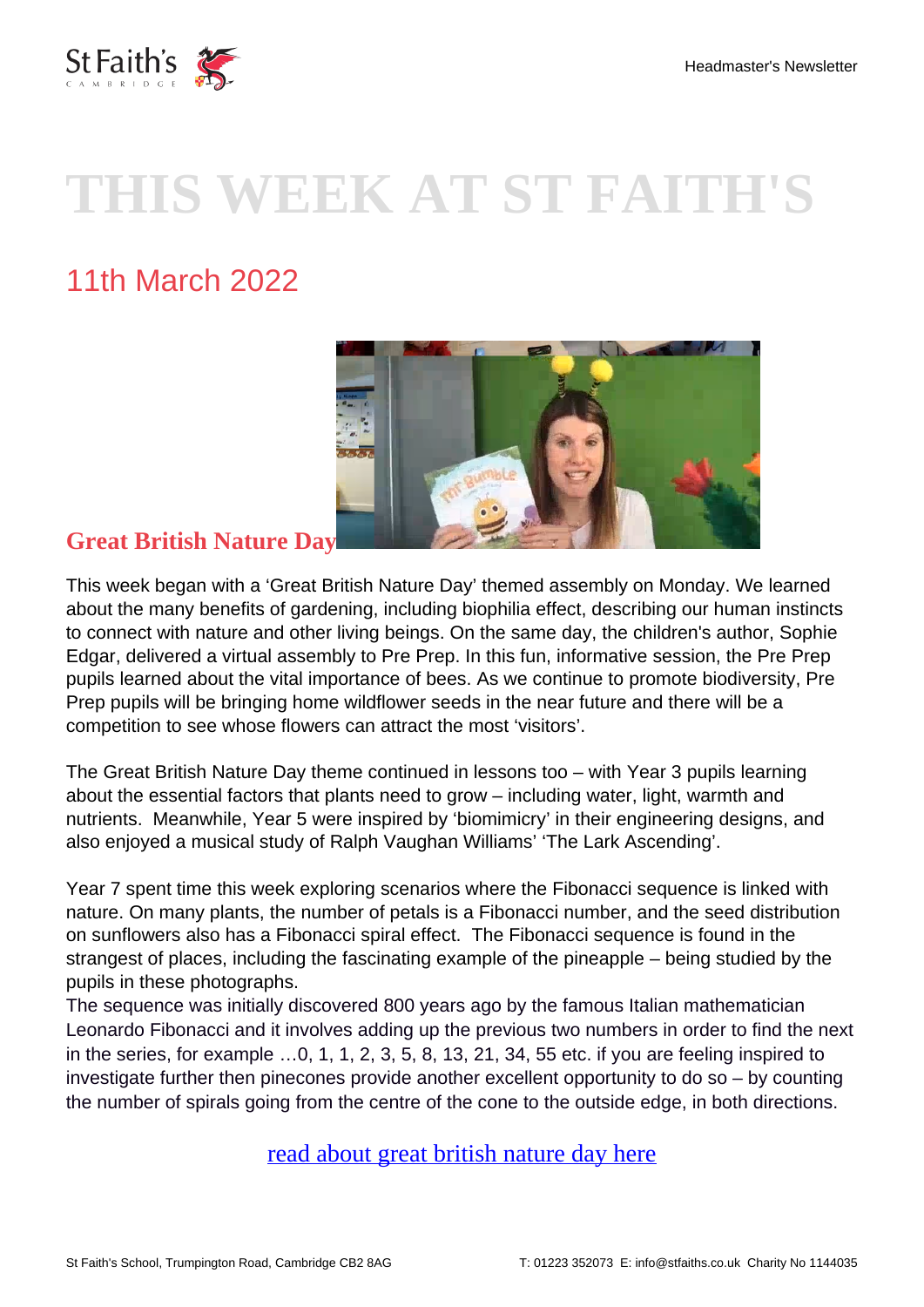

# **THIS WEEK AT ST FAITH'S**

# 11th March 2022



### **Great British Nature Day**

This week began with a 'Great British Nature Day' themed assembly on Monday. We learned about the many benefits of gardening, including biophilia effect, describing our human instincts to connect with nature and other living beings. On the same day, the children's author, Sophie Edgar, delivered a virtual assembly to Pre Prep. In this fun, informative session, the Pre Prep pupils learned about the vital importance of bees. As we continue to promote biodiversity, Pre Prep pupils will be bringing home wildflower seeds in the near future and there will be a competition to see whose flowers can attract the most 'visitors'.

The Great British Nature Day theme continued in lessons too – with Year 3 pupils learning about the essential factors that plants need to grow – including water, light, warmth and nutrients. Meanwhile, Year 5 were inspired by 'biomimicry' in their engineering designs, and also enjoyed a musical study of Ralph Vaughan Williams' 'The Lark Ascending'.

Year 7 spent time this week exploring scenarios where the Fibonacci sequence is linked with nature. On many plants, the number of petals is a Fibonacci number, and the seed distribution on sunflowers also has a Fibonacci spiral effect. The Fibonacci sequence is found in the strangest of places, including the fascinating example of the pineapple – being studied by the pupils in these photographs.

The sequence was initially discovered 800 years ago by the famous Italian mathematician Leonardo Fibonacci and it involves adding up the previous two numbers in order to find the next in the series, for example …0, 1, 1, 2, 3, 5, 8, 13, 21, 34, 55 etc. if you are feeling inspired to investigate further then pinecones provide another excellent opportunity to do so – by counting the number of spirals going from the centre of the cone to the outside edge, in both directions.

[read about great british nature day here](https://www.stfaiths.co.uk/wp-content/uploads/2022/03/GBND-Newsletter-11.3.22.pdf)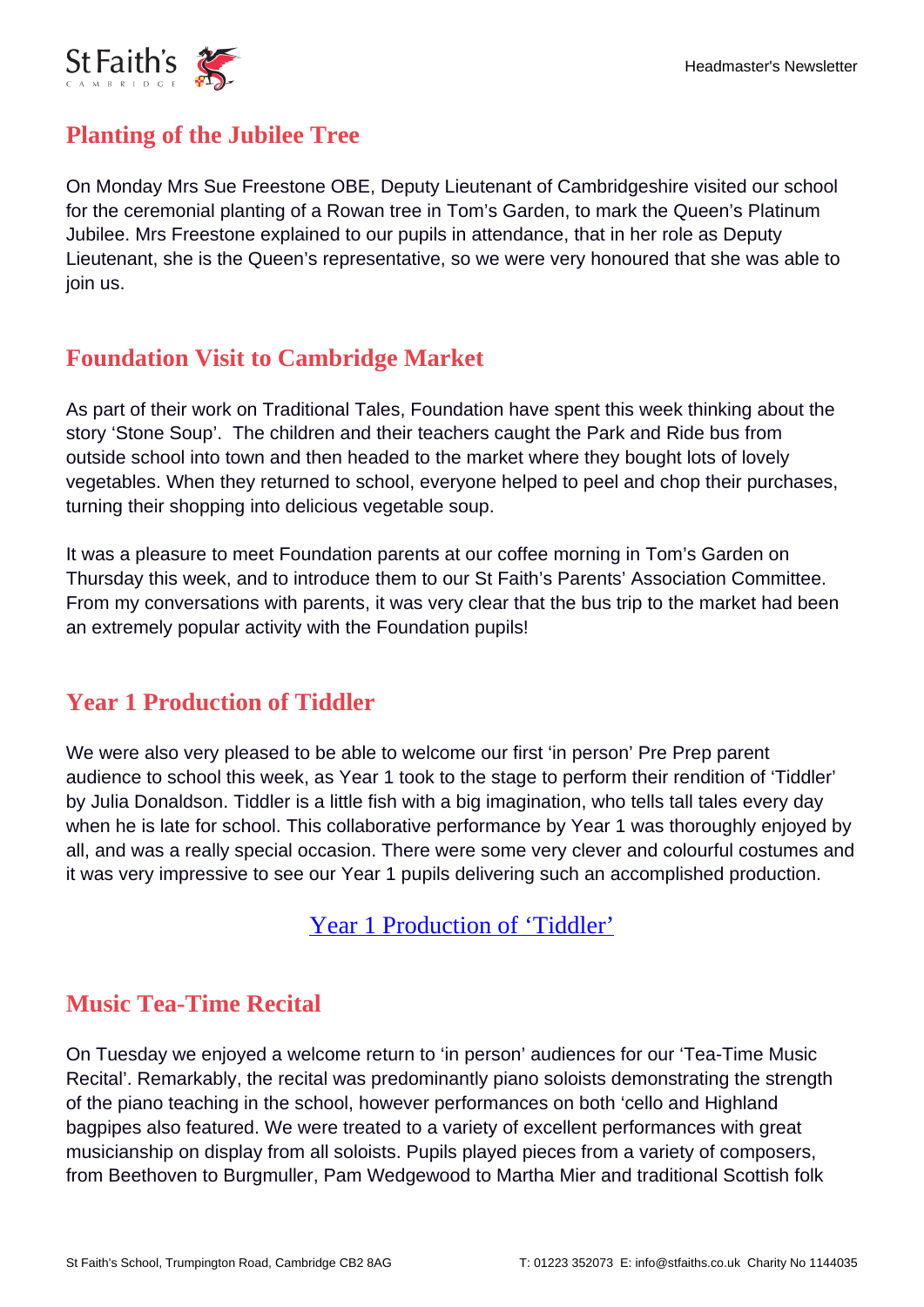

### **Planting of the Jubilee Tree**

On Monday Mrs Sue Freestone OBE, Deputy Lieutenant of Cambridgeshire visited our school for the ceremonial planting of a Rowan tree in Tom's Garden, to mark the Queen's Platinum Jubilee. Mrs Freestone explained to our pupils in attendance, that in her role as Deputy Lieutenant, she is the Queen's representative, so we were very honoured that she was able to join us.

# **Foundation Visit to Cambridge Market**

As part of their work on Traditional Tales, Foundation have spent this week thinking about the story 'Stone Soup'. The children and their teachers caught the Park and Ride bus from outside school into town and then headed to the market where they bought lots of lovely vegetables. When they returned to school, everyone helped to peel and chop their purchases, turning their shopping into delicious vegetable soup.

It was a pleasure to meet Foundation parents at our coffee morning in Tom's Garden on Thursday this week, and to introduce them to our St Faith's Parents' Association Committee. From my conversations with parents, it was very clear that the bus trip to the market had been an extremely popular activity with the Foundation pupils!

# **Year 1 Production of Tiddler**

We were also very pleased to be able to welcome our first 'in person' Pre Prep parent audience to school this week, as Year 1 took to the stage to perform their rendition of 'Tiddler' by Julia Donaldson. Tiddler is a little fish with a big imagination, who tells tall tales every day when he is late for school. This collaborative performance by Year 1 was thoroughly enjoyed by all, and was a really special occasion. There were some very clever and colourful costumes and it was very impressive to see our Year 1 pupils delivering such an accomplished production.

[Year 1 Production of 'Tiddler'](https://stfaiths.myschoolportal.co.uk/page/216)

#### **Music Tea-Time Recital**

On Tuesday we enjoyed a welcome return to 'in person' audiences for our 'Tea-Time Music Recital'. Remarkably, the recital was predominantly piano soloists demonstrating the strength of the piano teaching in the school, however performances on both 'cello and Highland bagpipes also featured. We were treated to a variety of excellent performances with great musicianship on display from all soloists. Pupils played pieces from a variety of composers, from Beethoven to Burgmuller, Pam Wedgewood to Martha Mier and traditional Scottish folk